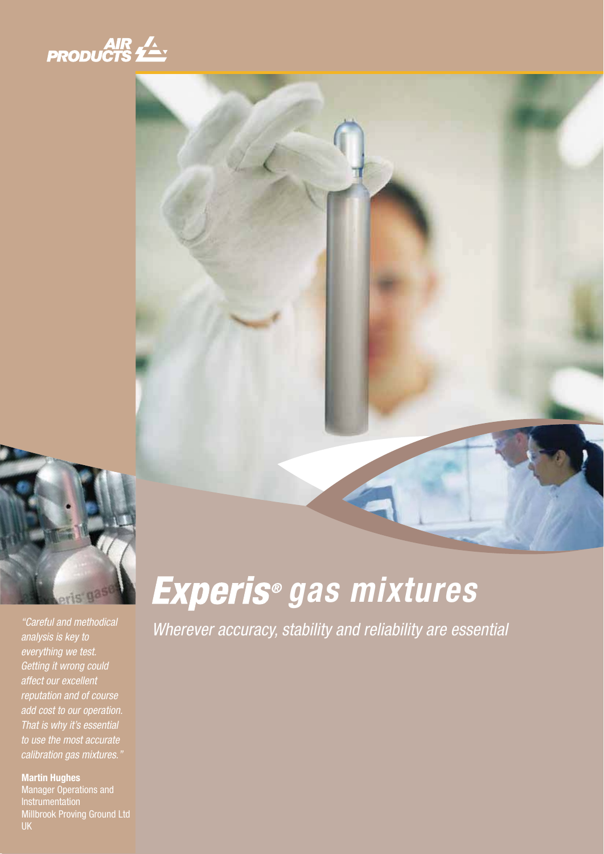





"Careful and methodical analysis is key to everything we test. Getting it wrong could affect our excellent reputation and of course add cost to our operation. That is why it's essential to use the most accurate calibration gas mixtures."

**Martin Hughes** Manager Operations and Instrumentation Millbrook Proving Ground Ltd UK

# **gas mixtures**

Wherever accuracy, stability and reliability are essential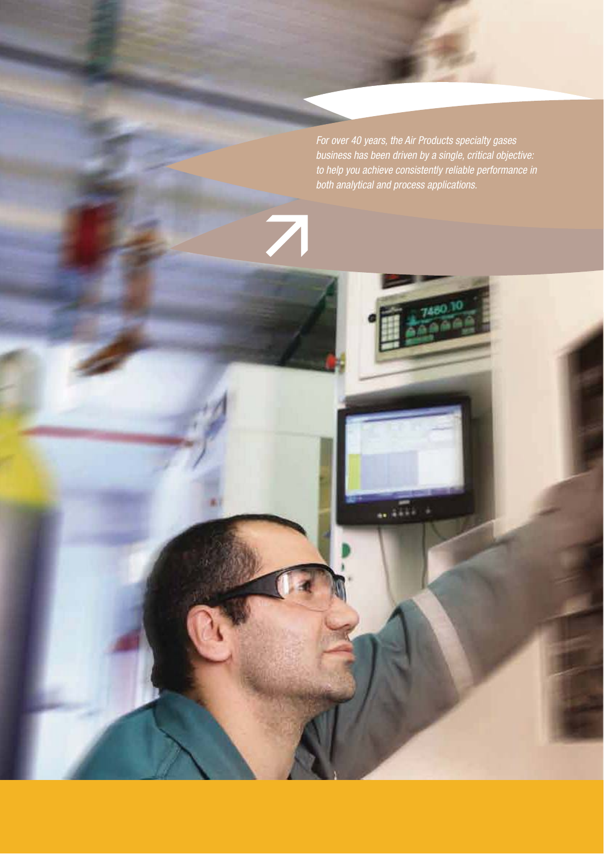For over 40 years, the Air Products specialty gases business has been driven by a single, critical objective: to help you achieve consistently reliable performance in both analytical and process applications.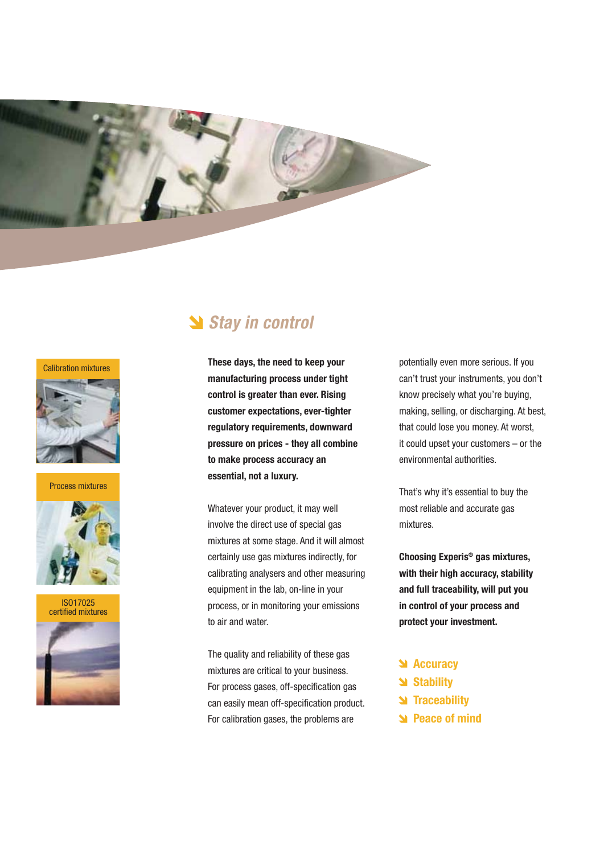

#### Calibration mixtures



Process mixtures





### **Stay in control**

**These days, the need to keep your manufacturing process under tight control is greater than ever. Rising customer expectations, ever-tighter regulatory requirements, downward pressure on prices - they all combine to make process accuracy an essential, not a luxury.**

Whatever your product, it may well involve the direct use of special gas mixtures at some stage. And it will almost certainly use gas mixtures indirectly, for calibrating analysers and other measuring equipment in the lab, on-line in your process, or in monitoring your emissions to air and water.

The quality and reliability of these gas mixtures are critical to your business. For process gases, off-specification gas can easily mean off-specification product. For calibration gases, the problems are

potentially even more serious. If you can't trust your instruments, you don't know precisely what you're buying, making, selling, or discharging. At best, that could lose you money. At worst, it could upset your customers – or the environmental authorities.

That's why it's essential to buy the most reliable and accurate gas mixtures.

**Choosing Experis® gas mixtures, with their high accuracy, stability and full traceability, will put you in control of your process and protect your investment.**

- **Accuracy**
- **Stability**
- **N** Traceability
- **Peace of mind**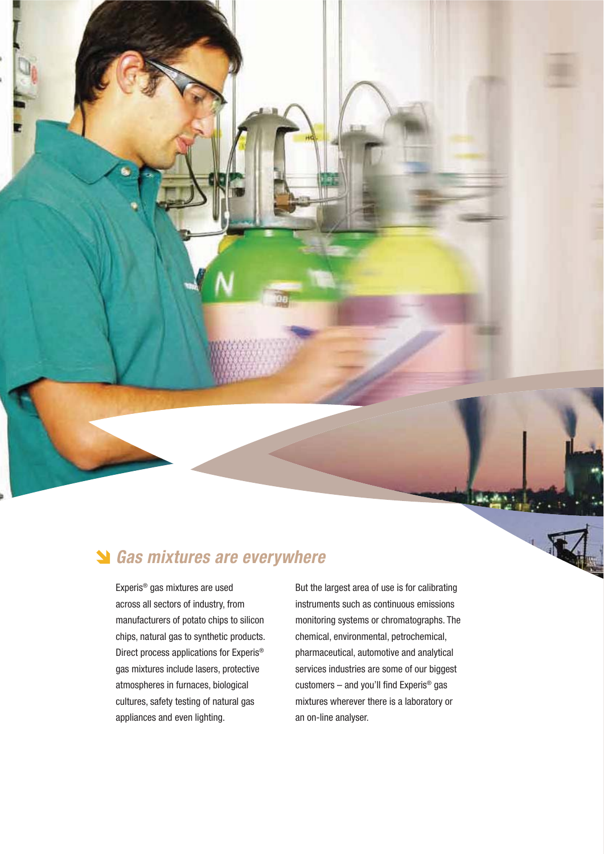

Experis® gas mixtures are used across all sectors of industry, from manufacturers of potato chips to silicon chips, natural gas to synthetic products. Direct process applications for Experis® gas mixtures include lasers, protective atmospheres in furnaces, biological cultures, safety testing of natural gas appliances and even lighting.

But the largest area of use is for calibrating instruments such as continuous emissions monitoring systems or chromatographs. The chemical, environmental, petrochemical, pharmaceutical, automotive and analytical services industries are some of our biggest customers – and you'll find Experis® gas mixtures wherever there is a laboratory or an on-line analyser.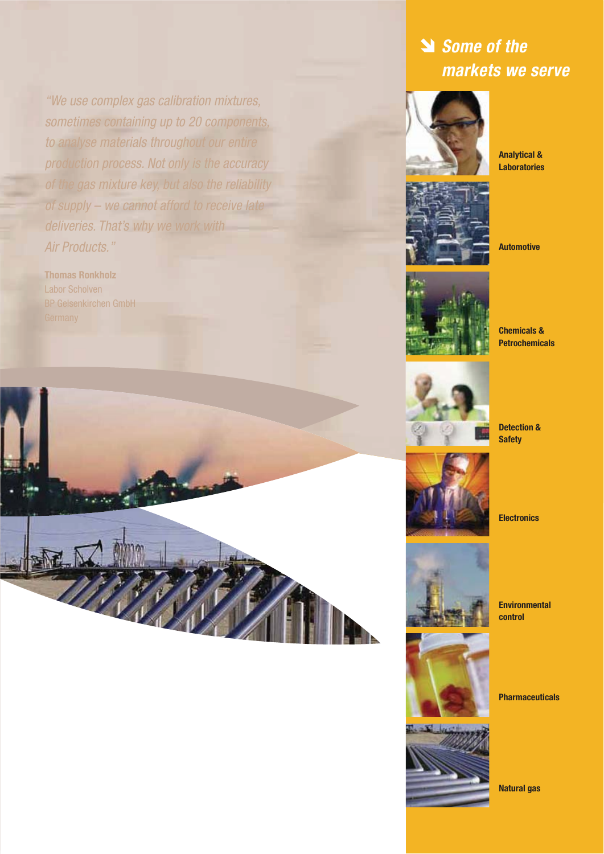"We use complex gas calibration mixtures, sometimes containing up to 20 components, to analyse materials throughout our entire production process. Not only is the accuracy of the gas mixture key, but also the reliability of supply – we cannot afford to receive late deliveries. That's why we work with Air Products."

**Thomas Ronkholz** Labor Scholven BP Gelsenkirchen GmbH



### **Some of the markets we serve**



**Analytical & Laboratories**



**Automotive**



**Chemicals & Petrochemicals**



**Detection & Safety**



**Electronics**



**Environmental control**



**Pharmaceuticals**



**Natural gas**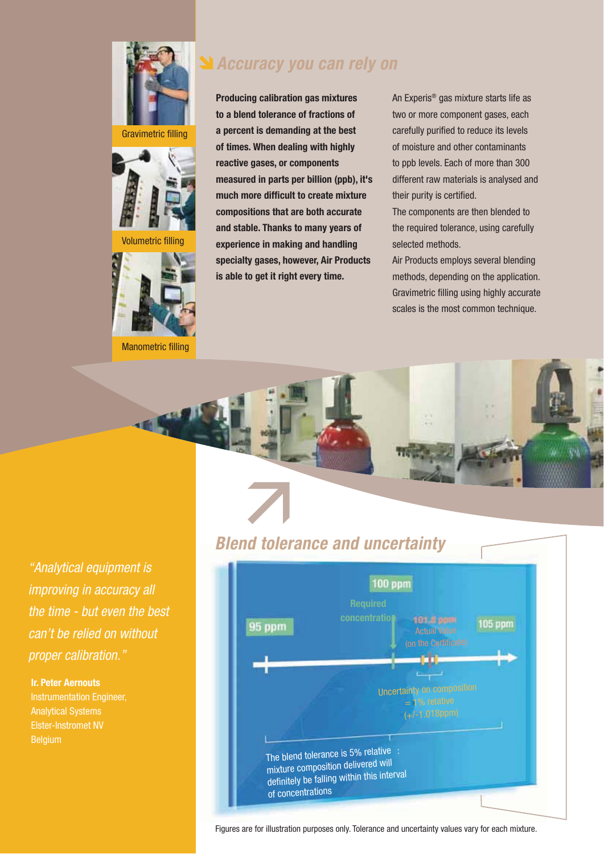

Gravimetric filling



Volumeti



Manometric filling

### **Accuracy you can rely on**

**Producing calibration gas mixtures to a blend tolerance of fractions of a percent is demanding at the best of times. When dealing with highly reactive gases, or components measured in parts per billion (ppb), it's much more difficult to create mixture compositions that are both accurate and stable. Thanks to many years of experience in making and handling specialty gases, however, Air Products is able to get it right every time.**

An Experis® gas mixture starts life as two or more component gases, each carefully purified to reduce its levels of moisture and other contaminants to ppb levels. Each of more than 300 different raw materials is analysed and their purity is certified.

The components are then blended to the required tolerance, using carefully selected methods.

Air Products employs several blending methods, depending on the application. Gravimetric filling using highly accurate scales is the most common technique.

"Analytical equipment is improving in accuracy all the time - but even the best can't be relied on without proper calibration."

#### **Ir. Peter Aernouts**

Instrumentation Engineer, Analytical Systems Elster-Instromet NV **Belgium** 



Figures are for illustration purposes only. Tolerance and uncertainty values vary for each mixture.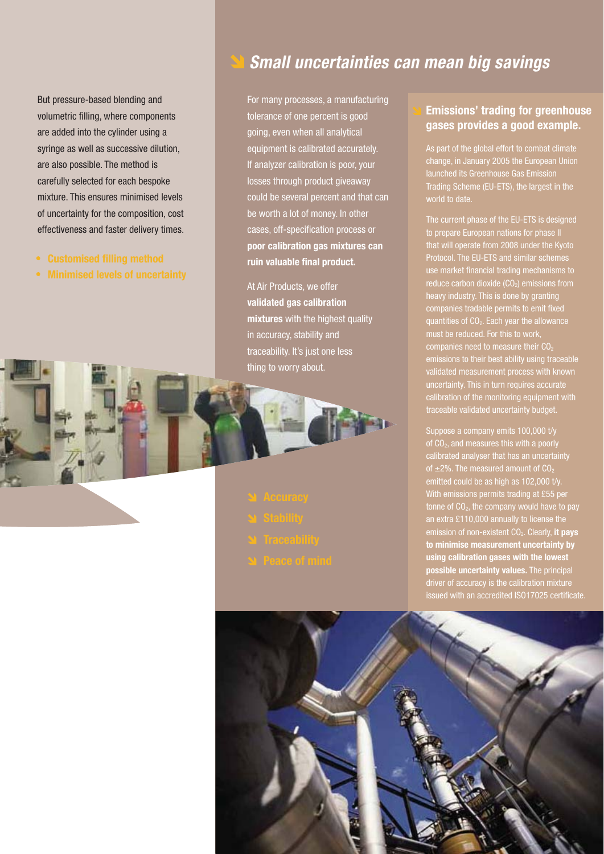But pressure-based blending and volumetric filling, where components are added into the cylinder using a syringe as well as successive dilution, are also possible. The method is carefully selected for each bespoke mixture. This ensures minimised levels of uncertainty for the composition, cost effectiveness and faster delivery times.

- **Customised filling method**
- **Minimised levels of uncertainty**

### **Small uncertainties can mean big savings**

For many processes, a manufacturing tolerance of one percent is good going, even when all analytical equipment is calibrated accurately. If analyzer calibration is poor, your losses through product giveaway could be several percent and that can be worth a lot of money. In other cases, off-specification process or **poor calibration gas mixtures can ruin valuable final product.**

At Air Products, we offer **validated gas calibration mixtures** with the highest quality in accuracy, stability and traceability. It's just one less thing to worry about.

#### **Emissions' trading for greenhouse gases provides a good example.**

As part of the global effort to combat climate change, in January 2005 the European Union launched its Greenhouse Gas Emission Trading Scheme (EU-ETS), the largest in the world to date.

The current phase of the FU-FTS is designed to prepare European nations for phase II that will operate from 2008 under the Kyoto Protocol. The EU-ETS and similar schemes use market financial trading mechanisms to reduce carbon dioxide  $(CO<sub>2</sub>)$  emissions from companies tradable permits to emit fixed quantities of  $CO<sub>2</sub>$ . Each year the allowance must be reduced. For this to work, companies need to measure their  $CO<sub>2</sub>$ emissions to their best ability using traceable validated measurement process with known uncertainty. This in turn requires accurate calibration of the monitoring equipment with traceable validated uncertainty budget.

Suppose a company emits 100,000 t/y of CO<sub>2</sub>, and measures this with a poorly calibrated analyser that has an uncertainty of  $\pm 2\%$ . The measured amount of CO<sub>2</sub> emitted could be as high as 102,000 t/v. With emissions permits trading at £55 per tonne of  $CO<sub>2</sub>$ , the company would have to pay an extra £110,000 annually to license the emission of non-existent CO2. Clearly, **it pays to minimise measurement uncertainty by using calibration gases with the lowest possible uncertainty values.** The principal driver of accuracy is the calibration mixture issued with an accredited ISO17025 certificate.

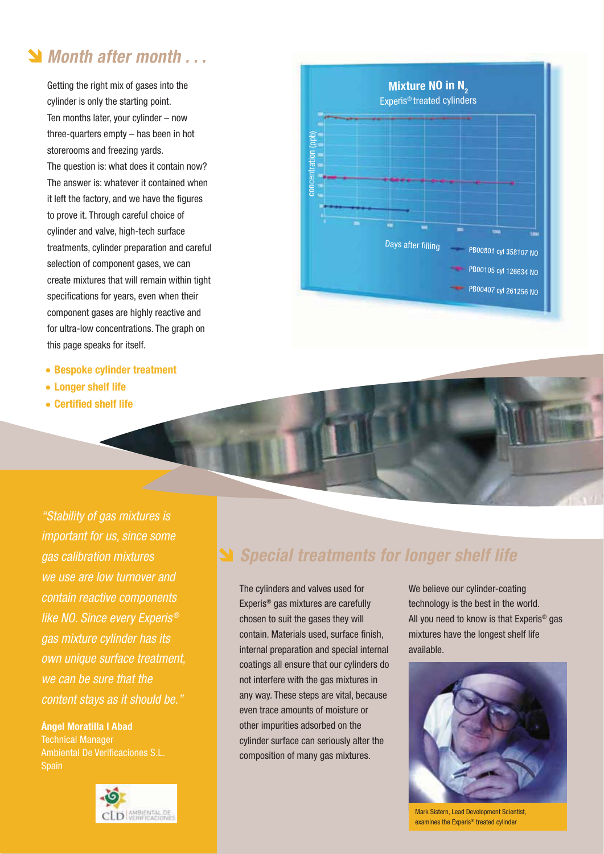### **Month after month . . .**

Getting the right mix of gases into the cylinder is only the starting point. Ten months later, your cylinder – now three-quarters empty – has been in hot storerooms and freezing yards. The question is: what does it contain now? The answer is: whatever it contained when it left the factory, and we have the figures to prove it. Through careful choice of cylinder and valve, high-tech surface treatments, cylinder preparation and careful selection of component gases, we can create mixtures that will remain within tight specifications for years, even when their component gases are highly reactive and for ultra-low concentrations. The graph on this page speaks for itself.

- **Bespoke cylinder treatment**
- **Longer shelf life**
- **Certified shelf life**

**Mixture NO in N<sub>2</sub>**  Experis® treated cylinders concentration (ppb) Days after filling PB00801 cyl 358107 NO PB00105 cyl 126634 NO PB00407 cyl 261256 NO

"Stability of gas mixtures is important for us, since some gas calibration mixtures we use are low turnover and contain reactive components like NO. Since every Experis® gas mixture cylinder has its own unique surface treatment, we can be sure that the content stays as it should be."

**Ángel Moratilla I Abad** Technical Manager Ambiental De Verificaciones S.L. **Spain** 



### **Special treatments for longer shelf life**

The cylinders and valves used for Experis® gas mixtures are carefully chosen to suit the gases they will contain. Materials used, surface finish, internal preparation and special internal coatings all ensure that our cylinders do not interfere with the gas mixtures in any way. These steps are vital, because even trace amounts of moisture or other impurities adsorbed on the cylinder surface can seriously alter the composition of many gas mixtures.

We believe our cylinder-coating technology is the best in the world. All you need to know is that Experis® gas mixtures have the longest shelf life available.



Mark Sistern, Lead Development Scientist, examines the Experis® treated cylinder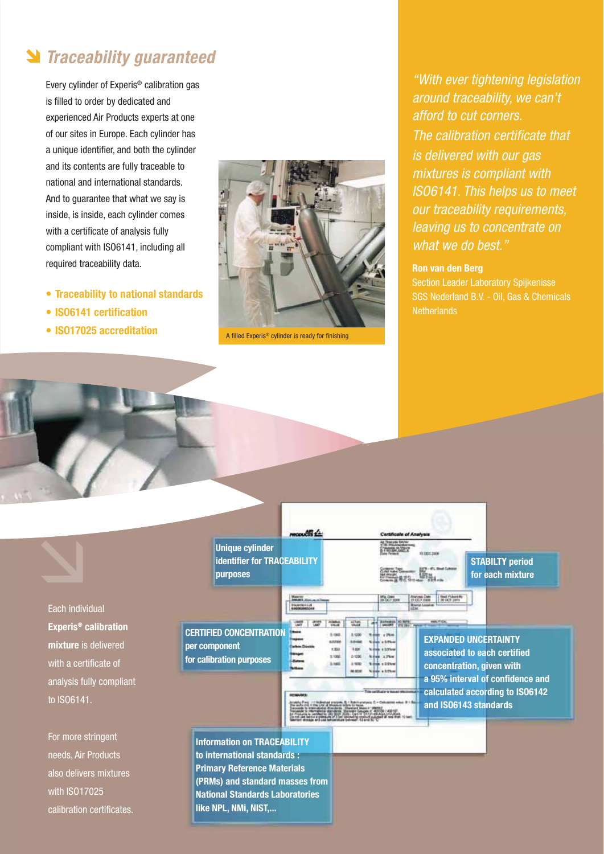### **N** Traceability guaranteed

Every cylinder of Experis® calibration gas is filled to order by dedicated and experienced Air Products experts at one of our sites in Europe. Each cylinder has a unique identifier, and both the cylinder and its contents are fully traceable to national and international standards. And to guarantee that what we say is inside, is inside, each cylinder comes with a certificate of analysis fully compliant with ISO6141, including all required traceability data.

- **Traceability to national standards**
- **ISO6141 certification**
- ISO17025 accreditation **A** A filled Experis<sup>®</sup> cylinder is ready for finishing



"With ever tightening legislation around traceability, we can't afford to cut corners. The calibration certificate that is delivered with our gas mixtures is compliant with ISO6141. This helps us to meet our traceability requirements, leaving us to concentrate on what we do best."

#### **Ron van den Berg**

Section Leader Laboratory Spijkenisse SGS Nederland B.V. - Oil, Gas & Chemicals **Netherlands** 



Each individual **Experis® calibration mixture** is delivered with a certificate of analysis fully compliant to ISO6141.

For more stringent needs, Air Products also delivers mixtures with ISO17025 calibration certificates.



**to international standards : Primary Reference Materials (PRMs) and standard masses from National Standards Laboratories like NPL, NMi, NIST,...**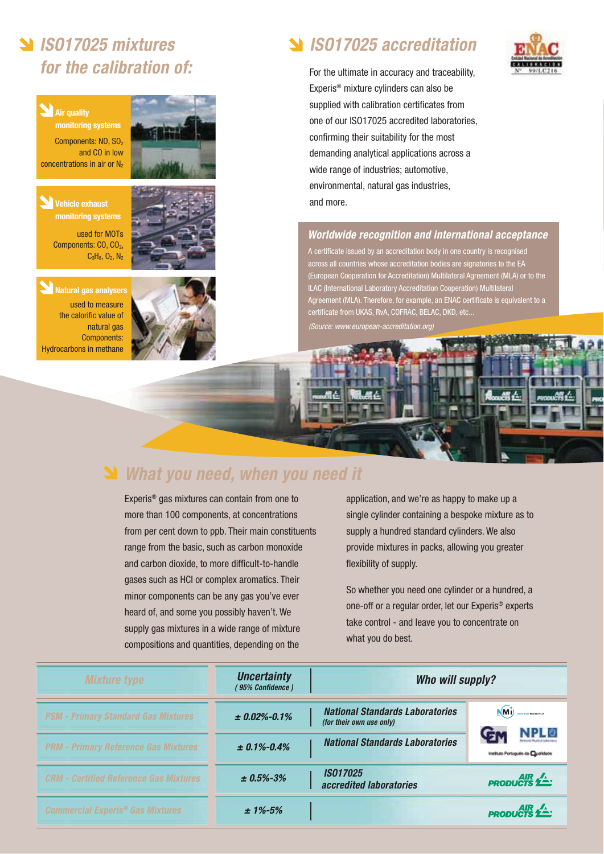## **ISO17025 mixtures for the calibration of:**

### **Air quality**

**monitoring systems** Components: NO, SO<sub>2</sub> and CO in low concentrations in air or  $N_2$ 

#### **Vehicle exhaust monitoring systems**

used for MOTs Components: CO, CO<sub>2</sub>,  $C_3H_8$ ,  $O_2$ ,  $N_2$ 



**Natural gas analysers** used to measure the calorific value of natural gas Components: Hydrocarbons in methane



### **ISO17025 accreditation**

For the ultimate in accuracy and traceability, Experis® mixture cylinders can also be supplied with calibration certificates from one of our ISO17025 accredited laboratories, confirming their suitability for the most demanding analytical applications across a wide range of industries; automotive, environmental, natural gas industries, and more.

#### **Worldwide recognition and international acceptance**

A certificate issued by an accreditation body in one country is recognised across all countries whose accreditation bodies are signatories to the EA (European Cooperation for Accreditation) Multilateral Agreement (MLA) or to the ILAC (International Laboratory Accreditation Cooperation) Multilateral ement (MLA). Therefore, for example, an ENAC certificate is equivalent to a certificate from UKAS, RvA, COFRAC, BELAC, DKD, etc...

(Source: www.european-accreditation.org)

## **What you need, when you need it**

Experis® gas mixtures can contain from one to more than 100 components, at concentrations from per cent down to ppb. Their main constituents range from the basic, such as carbon monoxide and carbon dioxide, to more difficult-to-handle gases such as HCl or complex aromatics. Their minor components can be any gas you've ever heard of, and some you possibly haven't. We supply gas mixtures in a wide range of mixture compositions and quantities, depending on the

application, and we're as happy to make up a single cylinder containing a bespoke mixture as to supply a hundred standard cylinders. We also provide mixtures in packs, allowing you greater flexibility of supply.

So whether you need one cylinder or a hundred, a one-off or a regular order, let our Experis® experts take control - and leave you to concentrate on what you do best.

| <b>Mixture type</b>                                | <b>Uncertainty</b><br><i>(95% Confidence)</i> | Who will supply?                                                   |                                        |
|----------------------------------------------------|-----------------------------------------------|--------------------------------------------------------------------|----------------------------------------|
| <b>PSM - Primary Standard Gas Mixtures</b>         | $±$ 0.02%-0.1%                                | <b>National Standards Laboratories</b><br>(for their own use only) | N(t)                                   |
| <b>PRM - Primary Reference Gas Mixtures</b>        | $\pm 0.1\% - 0.4\%$                           | <b>National Standards Laboratories</b>                             | Gr<br>Instituto Português de Qualidade |
| <b>CRM - Certified Reference Gas Mixtures</b>      | $\pm 0.5\% - 3\%$                             | <b>IS017025</b><br>accredited laboratories                         | <b>PRODUCTS</b>                        |
| <b>Commercial Experis<sup>®</sup> Gas Mixtures</b> | $± 1\% - 5\%$                                 |                                                                    | <b>PRODUCTS</b>                        |

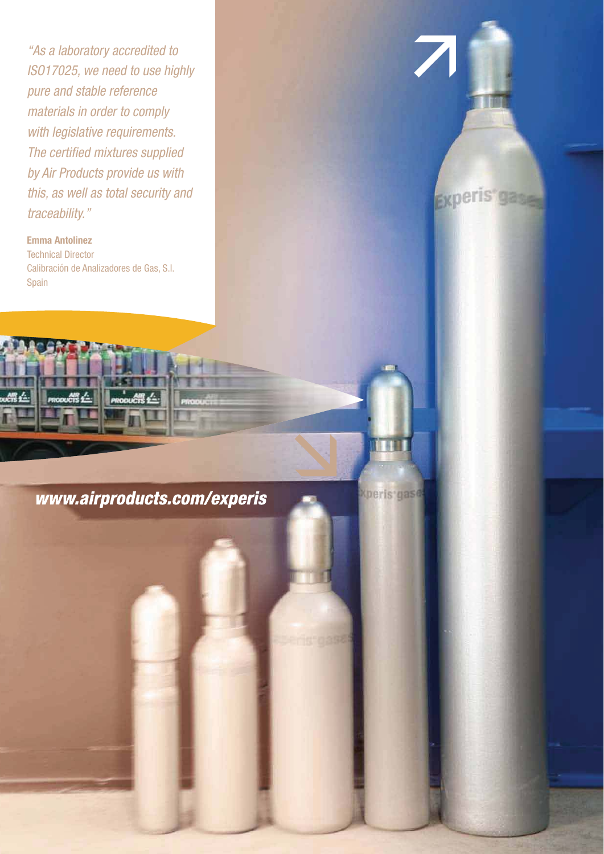"As a laboratory accredited to ISO17025, we need to use highly pure and stable reference materials in order to comply with legislative requirements. The certified mixtures supplied by Air Products provide us with this, as well as total security and traceability."

**Emma Antolinez** Technical Director Calibración de Analizadores de Gas, S.l. Spain

www.airproducts.com/experis

想。





**Xperis** gase